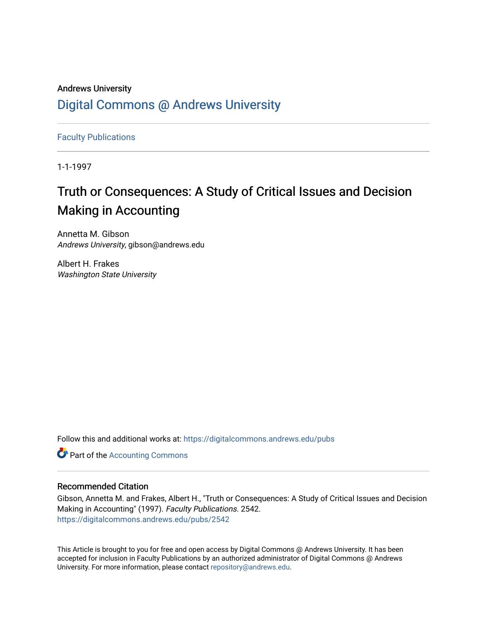# Andrews University [Digital Commons @ Andrews University](https://digitalcommons.andrews.edu/)

[Faculty Publications](https://digitalcommons.andrews.edu/pubs)

1-1-1997

# Truth or Consequences: A Study of Critical Issues and Decision Making in Accounting

Annetta M. Gibson Andrews University, gibson@andrews.edu

Albert H. Frakes Washington State University

Follow this and additional works at: [https://digitalcommons.andrews.edu/pubs](https://digitalcommons.andrews.edu/pubs?utm_source=digitalcommons.andrews.edu%2Fpubs%2F2542&utm_medium=PDF&utm_campaign=PDFCoverPages) 

**Part of the [Accounting Commons](http://network.bepress.com/hgg/discipline/625?utm_source=digitalcommons.andrews.edu%2Fpubs%2F2542&utm_medium=PDF&utm_campaign=PDFCoverPages)** 

### Recommended Citation

Gibson, Annetta M. and Frakes, Albert H., "Truth or Consequences: A Study of Critical Issues and Decision Making in Accounting" (1997). Faculty Publications. 2542. [https://digitalcommons.andrews.edu/pubs/2542](https://digitalcommons.andrews.edu/pubs/2542?utm_source=digitalcommons.andrews.edu%2Fpubs%2F2542&utm_medium=PDF&utm_campaign=PDFCoverPages) 

This Article is brought to you for free and open access by Digital Commons @ Andrews University. It has been accepted for inclusion in Faculty Publications by an authorized administrator of Digital Commons @ Andrews University. For more information, please contact [repository@andrews.edu](mailto:repository@andrews.edu).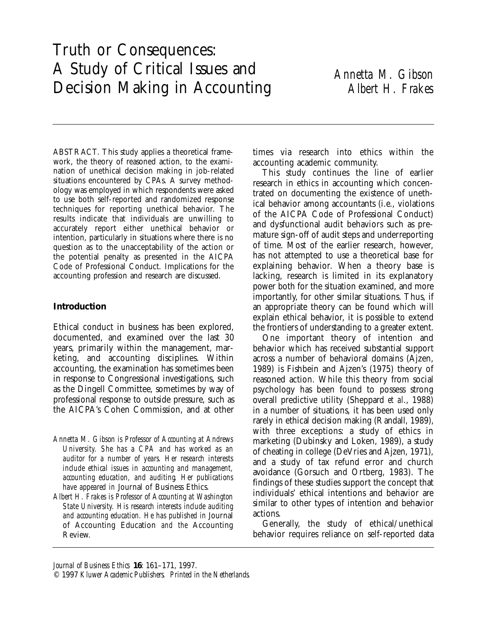# Truth or Consequences: A Study of Critical Issues and *Annetta M. Gibson* **Decision Making in Accounting**

ABSTRACT. This study applies a theoretical framework, the theory of reasoned action, to the examination of unethical decision making in job-related situations encountered by CPAs. A survey methodology was employed in which respondents were asked to use both self-reported and randomized response techniques for reporting unethical behavior. The results indicate that individuals are unwilling to accurately report either unethical behavior or intention, particularly in situations where there is no question as to the unacceptability of the action or the potential penalty as presented in the AICPA Code of Professional Conduct. Implications for the accounting profession and research are discussed.

#### **Introduction**

Ethical conduct in business has been explored, documented, and examined over the last 30 years, primarily within the management, marketing, and accounting disciplines. Within accounting, the examination has sometimes been in response to Congressional investigations, such as the Dingell Committee, sometimes by way of professional response to outside pressure, such as the AICPA's Cohen Commission, and at other

- *Annetta M. Gibson is Professor of Accounting at Andrews University. She has a CPA and has worked as an auditor for a number of years. Her research interests include ethical issues in accounting and management, accounting education, and auditing. Her publications have appeared in* Journal of Business Ethics.
- *Albert H. Frakes is Professor of Accounting at Washington State University. His research interests include auditing and accounting education. He has published in* Journal of Accounting Education *and the* Accounting Review.

times via research into ethics within the accounting academic community.

This study continues the line of earlier research in ethics in accounting which concentrated on documenting the existence of unethical behavior among accountants (i.e., violations of the AICPA Code of Professional Conduct) and dysfunctional audit behaviors such as premature sign-off of audit steps and underreporting of time. Most of the earlier research, however, has not attempted to use a theoretical base for explaining behavior. When a theory base is lacking, research is limited in its explanatory power both for the situation examined, and more importantly, for other similar situations. Thus, if an appropriate theory can be found which will explain ethical behavior, it is possible to extend the frontiers of understanding to a greater extent.

One important theory of intention and behavior which has received substantial support across a number of behavioral domains (Ajzen, 1989) is Fishbein and Ajzen's (1975) theory of reasoned action. While this theory from social psychology has been found to possess strong overall predictive utility (Sheppard *et al*., 1988) in a number of situations, it has been used only rarely in ethical decision making (Randall, 1989), with three exceptions: a study of ethics in marketing (Dubinsky and Loken, 1989), a study of cheating in college (DeVries and Ajzen, 1971), and a study of tax refund error and church avoidance (Gorsuch and Ortberg, 1983). The findings of these studies support the concept that individuals' ethical intentions and behavior are similar to other types of intention and behavior actions.

Generally, the study of ethical/unethical behavior requires reliance on self-reported data

*Journal of Business Ethics* **16**: 161–171, 1997.

<sup>© 1997</sup> *Kluwer Academic Publishers. Printed in the Netherlands.*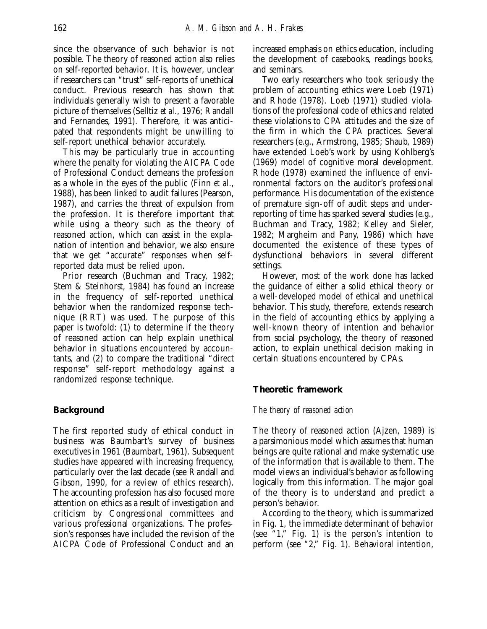since the observance of such behavior is not possible. The theory of reasoned action also relies on self-reported behavior. It is, however, unclear if researchers can "trust" self-reports of unethical conduct. Previous research has shown that individuals generally wish to present a favorable picture of themselves (Selltiz *et al*., 1976; Randall and Fernandes, 1991). Therefore, it was anticipated that respondents might be unwilling to self-report unethical behavior accurately.

This may be particularly true in accounting where the penalty for violating the AICPA Code of Professional Conduct demeans the profession as a whole in the eyes of the public (Finn *et al*., 1988), has been linked to audit failures (Pearson, 1987), and carries the threat of expulsion from the profession. It is therefore important that while using a theory such as the theory of reasoned action, which can assist in the explanation of intention and behavior, we also ensure that we get "accurate" responses when selfreported data must be relied upon.

Prior research (Buchman and Tracy, 1982; Stem & Steinhorst, 1984) has found an increase in the frequency of self-reported unethical behavior when the randomized response technique (RRT) was used. The purpose of this paper is twofold: (1) to determine if the theory of reasoned action can help explain unethical behavior in situations encountered by accountants, and (2) to compare the traditional "direct response" self-report methodology against a randomized response technique.

# **Background**

The first reported study of ethical conduct in business was Baumbart's survey of business executives in 1961 (Baumbart, 1961). Subsequent studies have appeared with increasing frequency, particularly over the last decade (see Randall and Gibson, 1990, for a review of ethics research). The accounting profession has also focused more attention on ethics as a result of investigation and criticism by Congressional committees and various professional organizations. The profession's responses have included the revision of the AICPA Code of Professional Conduct and an increased emphasis on ethics education, including the development of casebooks, readings books, and seminars.

Two early researchers who took seriously the problem of accounting ethics were Loeb (1971) and Rhode (1978). Loeb (1971) studied violations of the professional code of ethics and related these violations to CPA attitudes and the size of the firm in which the CPA practices. Several researchers (e.g., Armstrong, 1985; Shaub, 1989) have extended Loeb's work by using Kohlberg's (1969) model of cognitive moral development. Rhode (1978) examined the influence of environmental factors on the auditor's professional performance. His documentation of the existence of premature sign-off of audit steps and underreporting of time has sparked several studies (e.g., Buchman and Tracy, 1982; Kelley and Sieler, 1982; Margheim and Pany, 1986) which have documented the existence of these types of dysfunctional behaviors in several different settings.

However, most of the work done has lacked the guidance of either a solid ethical theory or a well-developed model of ethical and unethical behavior. This study, therefore, extends research in the field of accounting ethics by applying a well-known theory of intention and behavior from social psychology, the theory of reasoned action, to explain unethical decision making in certain situations encountered by CPAs.

# **Theoretic framework**

# *The theory of reasoned action*

The theory of reasoned action (Ajzen, 1989) is a parsimonious model which assumes that human beings are quite rational and make systematic use of the information that is available to them. The model views an individual's behavior as following logically from this information. The major goal of the theory is to understand and predict a person's behavior.

According to the theory, which is summarized in Fig. 1, the immediate determinant of behavior (see "1," Fig. 1) is the person's intention to perform (see "2," Fig. 1). Behavioral intention,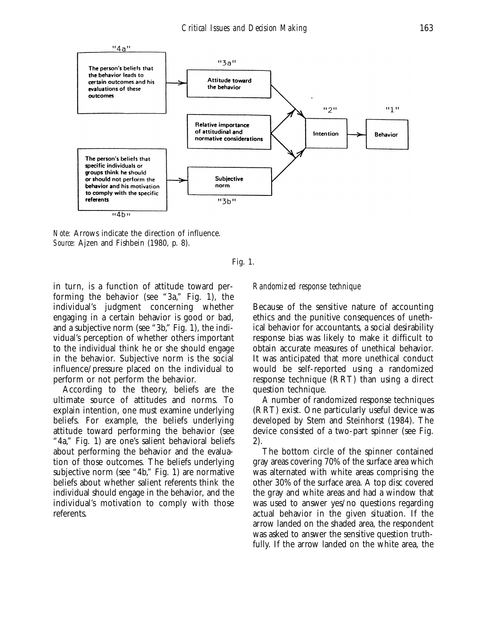

*Note:* Arrows indicate the direction of influence. *Source:* Ajzen and Fishbein (1980, p. 8).



in turn, is a function of attitude toward performing the behavior (see "3a," Fig. 1), the individual's judgment concerning whether engaging in a certain behavior is good or bad, and a subjective norm (see "3b," Fig. 1), the individual's perception of whether others important to the individual think he or she should engage in the behavior. Subjective norm is the social influence/pressure placed on the individual to perform or not perform the behavior.

According to the theory, beliefs are the ultimate source of attitudes and norms. To explain intention, one must examine underlying beliefs. For example, the beliefs underlying attitude toward performing the behavior (see "4a," Fig. 1) are one's salient behavioral beliefs about performing the behavior and the evaluation of those outcomes. The beliefs underlying subjective norm (see "4b," Fig. 1) are normative beliefs about whether salient referents think the individual should engage in the behavior, and the individual's motivation to comply with those referents.

#### *Randomized response technique*

Because of the sensitive nature of accounting ethics and the punitive consequences of unethical behavior for accountants, a social desirability response bias was likely to make it difficult to obtain accurate measures of unethical behavior. It was anticipated that more unethical conduct would be self-reported using a randomized response technique (RRT) than using a direct question technique.

A number of randomized response techniques (RRT) exist. One particularly useful device was developed by Stem and Steinhorst (1984). The device consisted of a two-part spinner (see Fig. 2).

The bottom circle of the spinner contained gray areas covering 70% of the surface area which was alternated with white areas comprising the other 30% of the surface area. A top disc covered the gray and white areas and had a window that was used to answer yes/no questions regarding actual behavior in the given situation. If the arrow landed on the shaded area, the respondent was asked to answer the sensitive question truthfully. If the arrow landed on the white area, the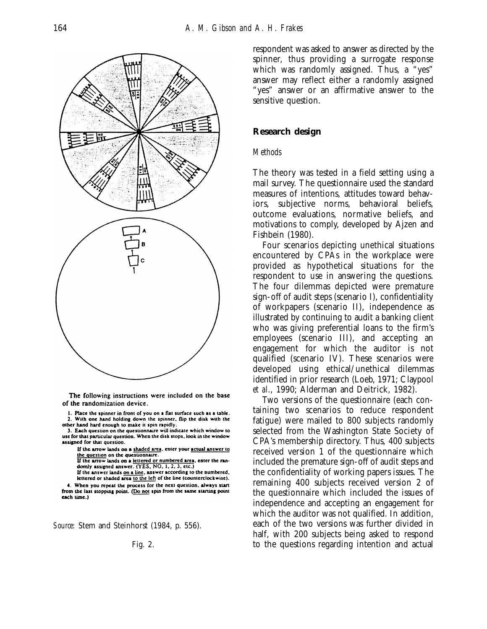

The following instructions were included on the base of the randomization device.

1. Place the spinner in front of you on a flat surface such as a table. 2. With one hand holding down the spinner, flip the disk with the other hand hard enough to make it spin rapidly

3. Each question on the questionnaire will indicate which window to use for that particular question. When the disk stops, look in the window assigned for that question.

If the arrow lands on a shaded area, enter your actual answer to the question on the questionnaire.

If the arrow lands on a lettered or numbered area, enter the randomly assigned answer. (YES, NO, 1, 2, 3, etc.)<br>If the answer lands on a line, answer according to the numbered,

lettered or shaded area to the left of the line (counterclockwise).

4. When you repeat the process for the next question, always start from the last stopping point. (Do not spin from the same starting point each time.)

*Source:* Stem and Steinhorst (1984, p. 556).

Fig. 2.

respondent was asked to answer as directed by the spinner, thus providing a surrogate response which was randomly assigned. Thus, a "yes" answer may reflect either a randomly assigned "yes" answer or an affirmative answer to the sensitive question.

#### **Research design**

#### *Methods*

The theory was tested in a field setting using a mail survey. The questionnaire used the standard measures of intentions, attitudes toward behaviors, subjective norms, behavioral beliefs, outcome evaluations, normative beliefs, and motivations to comply, developed by Ajzen and Fishbein (1980).

Four scenarios depicting unethical situations encountered by CPAs in the workplace were provided as hypothetical situations for the respondent to use in answering the questions. The four dilemmas depicted were premature sign-off of audit steps (scenario I), confidentiality of workpapers (scenario II), independence as illustrated by continuing to audit a banking client who was giving preferential loans to the firm's employees (scenario III), and accepting an engagement for which the auditor is not qualified (scenario IV). These scenarios were developed using ethical/unethical dilemmas identified in prior research (Loeb, 1971; Claypool *et al*., 1990; Alderman and Deitrick, 1982).

Two versions of the questionnaire (each containing two scenarios to reduce respondent fatigue) were mailed to 800 subjects randomly selected from the Washington State Society of CPA's membership directory. Thus, 400 subjects received version 1 of the questionnaire which included the premature sign-off of audit steps and the confidentiality of working papers issues. The remaining 400 subjects received version 2 of the questionnaire which included the issues of independence and accepting an engagement for which the auditor was not qualified. In addition, each of the two versions was further divided in half, with 200 subjects being asked to respond to the questions regarding intention and actual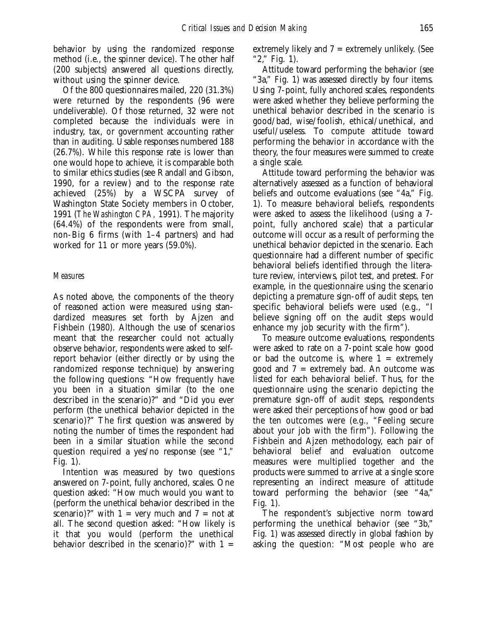behavior by using the randomized response method (i.e., the spinner device). The other half (200 subjects) answered all questions directly, without using the spinner device.

Of the 800 questionnaires mailed, 220 (31.3%) were returned by the respondents (96 were undeliverable). Of those returned, 32 were not completed because the individuals were in industry, tax, or government accounting rather than in auditing. Usable responses numbered 188 (26.7%). While this response rate is lower than one would hope to achieve, it is comparable both to similar ethics studies (see Randall and Gibson, 1990, for a review) and to the response rate achieved (25%) by a WSCPA survey of Washington State Society members in October, 1991 (*The Washington CPA,* 1991). The majority (64.4%) of the respondents were from small, non-Big 6 firms (with 1–4 partners) and had worked for 11 or more years (59.0%).

#### *Measures*

As noted above, the components of the theory of reasoned action were measured using standardized measures set forth by Ajzen and Fishbein (1980). Although the use of scenarios meant that the researcher could not actually observe behavior, respondents were asked to selfreport behavior (either directly or by using the randomized response technique) by answering the following questions: "How frequently have you been in a situation similar (to the one described in the scenario)?" and "Did you ever perform (the unethical behavior depicted in the scenario)?" The first question was answered by noting the number of times the respondent had been in a similar situation while the second question required a yes/no response (see "1," Fig. 1).

Intention was measured by two questions answered on 7-point, fully anchored, scales. One question asked: "How much would you want to (perform the unethical behavior described in the scenario)?" with  $1 =$  very much and  $7 =$  not at all. The second question asked: "How likely is it that you would (perform the unethical behavior described in the scenario)?" with  $1 =$ 

extremely likely and  $7 =$  extremely unlikely. (See "2," Fig. 1).

Attitude toward performing the behavior (see "3a," Fig. 1) was assessed directly by four items. Using 7-point, fully anchored scales, respondents were asked whether they believe performing the unethical behavior described in the scenario is good/bad, wise/foolish, ethical/unethical, and useful/useless. To compute attitude toward performing the behavior in accordance with the theory, the four measures were summed to create a single scale.

Attitude toward performing the behavior was alternatively assessed as a function of behavioral beliefs and outcome evaluations (see "4a," Fig. 1). To measure behavioral beliefs, respondents were asked to assess the likelihood (using a 7 point, fully anchored scale) that a particular outcome will occur as a result of performing the unethical behavior depicted in the scenario. Each questionnaire had a different number of specific behavioral beliefs identified through the literature review, interviews, pilot test, and pretest. For example, in the questionnaire using the scenario depicting a premature sign-off of audit steps, ten specific behavioral beliefs were used (e.g., "I believe signing off on the audit steps would enhance my job security with the firm").

To measure outcome evaluations, respondents were asked to rate on a 7-point scale how good or bad the outcome is, where  $1 =$  extremely good and  $7 =$  extremely bad. An outcome was listed for each behavioral belief. Thus, for the questionnaire using the scenario depicting the premature sign-off of audit steps, respondents were asked their perceptions of how good or bad the ten outcomes were (e.g., "Feeling secure about your job with the firm"). Following the Fishbein and Ajzen methodology, each pair of behavioral belief and evaluation outcome measures were multiplied together and the products were summed to arrive at a single score representing an indirect measure of attitude toward performing the behavior (see "4a," Fig. 1).

The respondent's subjective norm toward performing the unethical behavior (see "3b," Fig. 1) was assessed directly in global fashion by asking the question: "Most people who are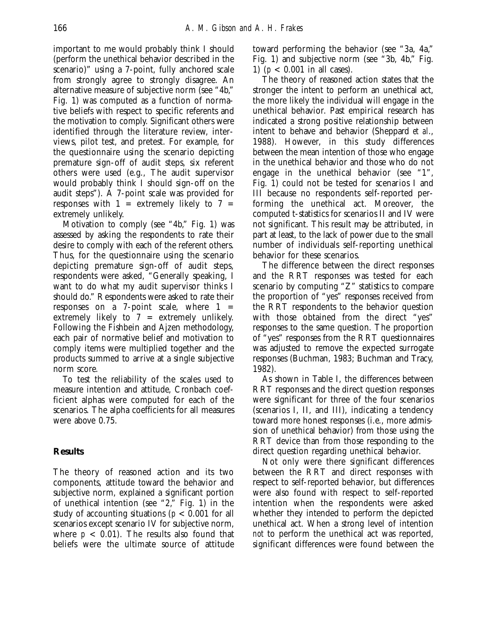important to me would probably think I should (perform the unethical behavior described in the scenario)" using a 7-point, fully anchored scale from strongly agree to strongly disagree. An alternative measure of subjective norm (see "4b," Fig. 1) was computed as a function of normative beliefs with respect to specific referents and the motivation to comply. Significant others were identified through the literature review, interviews, pilot test, and pretest. For example, for the questionnaire using the scenario depicting premature sign-off of audit steps, six referent others were used (e.g., The audit supervisor would probably think I should sign-off on the audit steps"). A 7-point scale was provided for responses with  $1 =$  extremely likely to  $7 =$ extremely unlikely.

Motivation to comply (see "4b," Fig. 1) was assessed by asking the respondents to rate their desire to comply with each of the referent others. Thus, for the questionnaire using the scenario depicting premature sign-off of audit steps, respondents were asked, "Generally speaking, I want to do what my audit supervisor thinks I should do." Respondents were asked to rate their responses on a  $7$ -point scale, where  $1 =$ extremely likely to 7 = extremely unlikely. Following the Fishbein and Ajzen methodology, each pair of normative belief and motivation to comply items were multiplied together and the products summed to arrive at a single subjective norm score.

To test the reliability of the scales used to measure intention and attitude, Cronbach coefficient alphas were computed for each of the scenarios. The alpha coefficients for all measures were above 0.75.

# **Results**

The theory of reasoned action and its two components, attitude toward the behavior and subjective norm, explained a significant portion of unethical intention (see "2," Fig. 1) in the study of accounting situations (*p* < 0.001 for all scenarios except scenario IV for subjective norm, where  $p < 0.01$ ). The results also found that beliefs were the ultimate source of attitude toward performing the behavior (see "3a, 4a," Fig. 1) and subjective norm (see "3b, 4b," Fig. 1) (*p* < 0.001 in all cases).

The theory of reasoned action states that the stronger the intent to perform an unethical act, the more likely the individual will engage in the unethical behavior. Past empirical research has indicated a strong positive relationship between intent to behave and behavior (Sheppard *et al*., 1988). However, in this study differences between the mean intention of those who engage in the unethical behavior and those who do not engage in the unethical behavior (see "1", Fig. 1) could not be tested for scenarios I and III because no respondents self-reported performing the unethical act. Moreover, the computed t-statistics for scenarios II and IV were not significant. This result may be attributed, in part at least, to the lack of power due to the small number of individuals self-reporting unethical behavior for these scenarios.

The difference between the direct responses and the RRT responses was tested for each scenario by computing "Z" statistics to compare the proportion of "yes" responses received from the RRT respondents to the behavior question with those obtained from the direct "yes" responses to the same question. The proportion of "yes" responses from the RRT questionnaires was adjusted to remove the expected surrogate responses (Buchman, 1983; Buchman and Tracy, 1982).

As shown in Table I, the differences between RRT responses and the direct question responses were significant for three of the four scenarios (scenarios I, II, and III), indicating a tendency toward more honest responses (i.e., more admission of unethical behavior) from those using the RRT device than from those responding to the direct question regarding unethical behavior.

Not only were there significant differences between the RRT and direct responses with respect to self-reported behavior, but differences were also found with respect to self-reported intention when the respondents were asked whether they intended to perform the depicted unethical act. When a strong level of intention *not* to perform the unethical act was reported, significant differences were found between the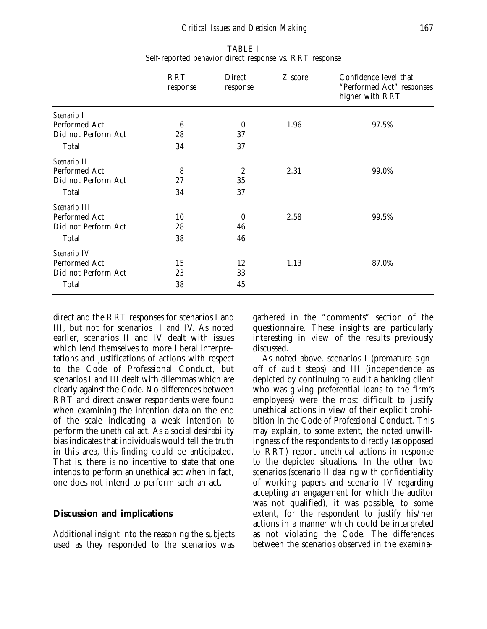|                     | <b>RRT</b><br>response | Direct<br>response | Z score | Confidence level that<br>"Performed Act" responses<br>higher with RRT |
|---------------------|------------------------|--------------------|---------|-----------------------------------------------------------------------|
| Scenario I          |                        |                    |         |                                                                       |
| Performed Act       | $6\phantom{1}6$        | $\theta$           | 1.96    | 97.5%                                                                 |
| Did not Perform Act | 28                     | 37                 |         |                                                                       |
| Total               | 34                     | 37                 |         |                                                                       |
| Scenario II         |                        |                    |         |                                                                       |
| Performed Act       | 8                      | $\sqrt{2}$         | 2.31    | 99.0%                                                                 |
| Did not Perform Act | 27                     | 35                 |         |                                                                       |
| Total               | 34                     | 37                 |         |                                                                       |
| Scenario III        |                        |                    |         |                                                                       |
| Performed Act       | 10                     | $\theta$           | 2.58    | 99.5%                                                                 |
| Did not Perform Act | 28                     | 46                 |         |                                                                       |
| Total               | 38                     | 46                 |         |                                                                       |
| Scenario IV         |                        |                    |         |                                                                       |
| Performed Act       | 15                     | 12                 | 1.13    | 87.0%                                                                 |
| Did not Perform Act | 23                     | 33                 |         |                                                                       |
| Total               | 38                     | 45                 |         |                                                                       |

TABLE I Self-reported behavior direct response vs. RRT response

direct and the RRT responses for scenarios I and III, but not for scenarios II and IV. As noted earlier, scenarios II and IV dealt with issues which lend themselves to more liberal interpretations and justifications of actions with respect to the Code of Professional Conduct, but scenarios I and III dealt with dilemmas which are clearly against the Code. No differences between RRT and direct answer respondents were found when examining the intention data on the end of the scale indicating a weak intention *to* perform the unethical act. As a social desirability bias indicates that individuals would tell the truth in this area, this finding could be anticipated. That is, there is no incentive to state that one intends to perform an unethical act when in fact, one does not intend to perform such an act.

#### **Discussion and implications**

Additional insight into the reasoning the subjects used as they responded to the scenarios was

gathered in the "comments" section of the questionnaire. These insights are particularly interesting in view of the results previously discussed.

As noted above, scenarios I (premature signoff of audit steps) and III (independence as depicted by continuing to audit a banking client who was giving preferential loans to the firm's employees) were the most difficult to justify unethical actions in view of their explicit prohibition in the Code of Professional Conduct. This may explain, to some extent, the noted unwillingness of the respondents to directly (as opposed to RRT) report unethical actions in response to the depicted situations. In the other two scenarios (scenario II dealing with confidentiality of working papers and scenario IV regarding accepting an engagement for which the auditor was not qualified), it was possible, to some extent, for the respondent to justify his/her actions in a manner which could be interpreted as not violating the Code. The differences between the scenarios observed in the examina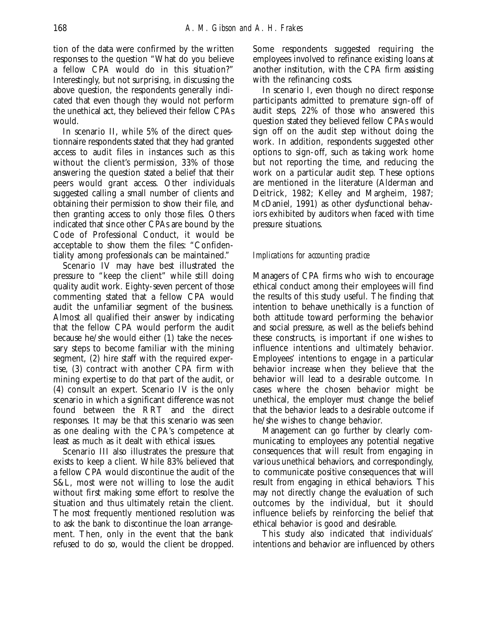tion of the data were confirmed by the written responses to the question "What do you believe a fellow CPA would do in this situation?" Interestingly, but not surprising, in discussing the above question, the respondents generally indicated that even though *they* would not perform the unethical act, they believed their fellow CPAs would.

In scenario II, while 5% of the direct questionnaire respondents stated that they had granted access to audit files in instances such as this without the client's permission, 33% of those answering the question stated a belief that their peers would grant access. Other individuals suggested calling a small number of clients and obtaining their permission to show their file, and then granting access to only those files. Others indicated that since other CPAs are bound by the Code of Professional Conduct, it would be acceptable to show them the files: "Confidentiality among professionals can be maintained."

Scenario IV may have best illustrated the pressure to "keep the client" while still doing quality audit work. Eighty-seven percent of those commenting stated that a fellow CPA would audit the unfamiliar segment of the business. Almost all qualified their answer by indicating that the fellow CPA would perform the audit because he/she would either (1) take the necessary steps to become familiar with the mining segment, (2) hire staff with the required expertise, (3) contract with another CPA firm with mining expertise to do that part of the audit, or (4) consult an expert. Scenario IV is the only scenario in which a significant difference was not found between the RRT and the direct responses. It may be that this scenario was seen as one dealing with the CPA's competence at least as much as it dealt with ethical issues.

Scenario III also illustrates the pressure that exists to keep a client. While 83% believed that a fellow CPA would discontinue the audit of the S&L, most were not willing to lose the audit without first making some effort to resolve the situation and thus ultimately retain the client. The most frequently mentioned resolution was to ask the bank to discontinue the loan arrangement. Then, only in the event that the bank refused to do so, would the client be dropped. Some respondents suggested requiring the employees involved to refinance existing loans at another institution, with the CPA firm assisting with the refinancing costs.

In scenario I, even though no direct response participants admitted to premature sign-off of audit steps, 22% of those who answered this question stated they believed fellow CPAs would sign off on the audit step without doing the work. In addition, respondents suggested other options to sign-off, such as taking work home but not reporting the time, and reducing the work on a particular audit step. These options are mentioned in the literature (Alderman and Deitrick, 1982; Kelley and Margheim, 1987; McDaniel, 1991) as other dysfunctional behaviors exhibited by auditors when faced with time pressure situations.

### *Implications for accounting practice*

Managers of CPA firms who wish to encourage ethical conduct among their employees will find the results of this study useful. The finding that intention to behave unethically is a function of both attitude toward performing the behavior and social pressure, as well as the beliefs behind these constructs, is important if one wishes to influence intentions and ultimately behavior. Employees' intentions to engage in a particular behavior increase when they believe that the behavior will lead to a desirable outcome. In cases where the chosen behavior might be unethical, the employer must change the belief that the behavior leads to a desirable outcome if he/she wishes to change behavior.

Management can go further by clearly communicating to employees any potential negative consequences that will result from engaging in various unethical behaviors, and correspondingly, to communicate positive consequences that will result from engaging in ethical behaviors. This may not directly change the evaluation of such outcomes by the individual, but it should influence beliefs by reinforcing the belief that ethical behavior is good and desirable.

This study also indicated that individuals' intentions and behavior are influenced by others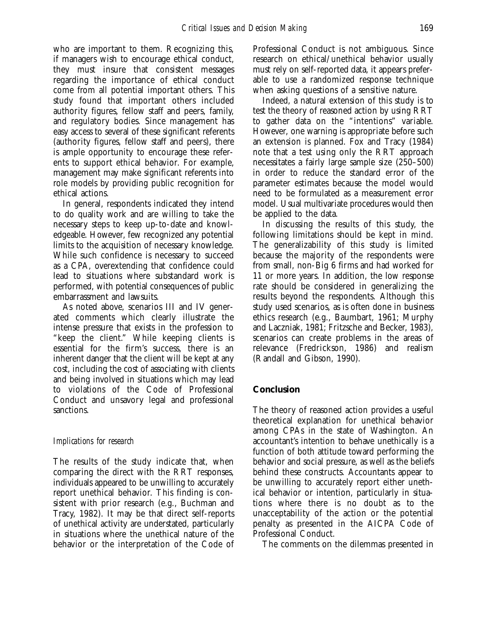who are important to them. Recognizing this, if managers wish to encourage ethical conduct, they must insure that consistent messages regarding the importance of ethical conduct come from all potential important others. This study found that important others included authority figures, fellow staff and peers, family, and regulatory bodies. Since management has easy access to several of these significant referents (authority figures, fellow staff and peers), there is ample opportunity to encourage these referents to support ethical behavior. For example, management may make significant referents into role models by providing public recognition for ethical actions.

In general, respondents indicated they intend to do quality work and are willing to take the necessary steps to keep up-to-date and knowledgeable. However, few recognized any potential limits to the acquisition of necessary knowledge. While such confidence is necessary to succeed as a CPA, overextending that confidence could lead to situations where substandard work is performed, with potential consequences of public embarrassment and lawsuits.

As noted above, scenarios III and IV generated comments which clearly illustrate the intense pressure that exists in the profession to "keep the client." While keeping clients is essential for the firm's success, there is an inherent danger that the client will be kept at any cost, including the cost of associating with clients and being involved in situations which may lead to violations of the Code of Professional Conduct and unsavory legal and professional sanctions.

#### *Implications for research*

The results of the study indicate that, when comparing the direct with the RRT responses, individuals appeared to be unwilling to accurately report unethical behavior. This finding is consistent with prior research (e.g., Buchman and Tracy, 1982). It may be that direct self-reports of unethical activity are understated, particularly in situations where the unethical nature of the behavior or the interpretation of the Code of

Professional Conduct is not ambiguous. Since research on ethical/unethical behavior usually must rely on self-reported data, it appears preferable to use a randomized response technique when asking questions of a sensitive nature.

Indeed, a natural extension of this study is to test the theory of reasoned action by using RRT to gather data on the "intentions" variable. However, one warning is appropriate before such an extension is planned. Fox and Tracy (1984) note that a test using only the RRT approach necessitates a fairly large sample size (250–500) in order to reduce the standard error of the parameter estimates because the model would need to be formulated as a measurement error model. Usual multivariate procedures would then be applied to the data.

In discussing the results of this study, the following limitations should be kept in mind. The generalizability of this study is limited because the majority of the respondents were from small, non-Big 6 firms and had worked for 11 or more years. In addition, the low response rate should be considered in generalizing the results beyond the respondents. Although this study used scenarios, as is often done in business ethics research (e.g., Baumbart, 1961; Murphy and Laczniak, 1981; Fritzsche and Becker, 1983), scenarios can create problems in the areas of relevance (Fredrickson, 1986) and realism (Randall and Gibson, 1990).

# **Conclusion**

The theory of reasoned action provides a useful theoretical explanation for unethical behavior among CPAs in the state of Washington. An accountant's intention to behave unethically is a function of both attitude toward performing the behavior and social pressure, as well as the beliefs behind these constructs. Accountants appear to be unwilling to accurately report either unethical behavior or intention, particularly in situations where there is no doubt as to the unacceptability of the action or the potential penalty as presented in the AICPA Code of Professional Conduct.

The comments on the dilemmas presented in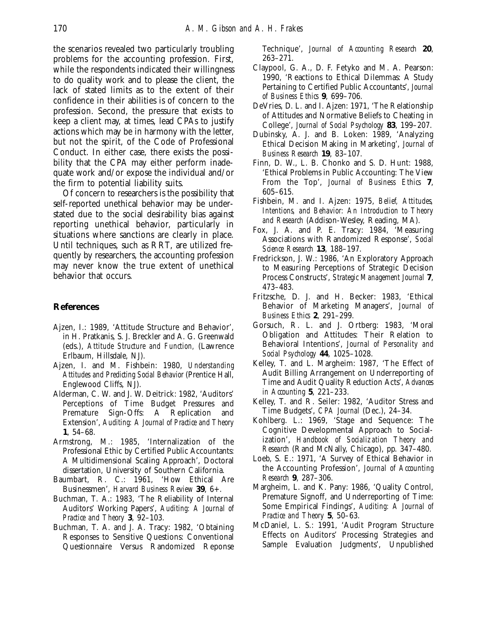the scenarios revealed two particularly troubling problems for the accounting profession. First, while the respondents indicated their willingness to do quality work and to please the client, the lack of stated limits as to the extent of their confidence in their abilities is of concern to the profession. Second, the pressure that exists to keep a client may, at times, lead CPAs to justify actions which may be in harmony with the letter, but not the spirit, of the Code of Professional Conduct. In either case, there exists the possibility that the CPA may either perform inadequate work and/or expose the individual and/or the firm to potential liability suits.

Of concern to researchers is the possibility that self-reported unethical behavior may be understated due to the social desirability bias against reporting unethical behavior, particularly in situations where sanctions are clearly in place. Until techniques, such as RRT, are utilized frequently by researchers, the accounting profession may never know the true extent of unethical behavior that occurs.

#### **References**

- Ajzen, I.: 1989, 'Attitude Structure and Behavior', in H. Pratkanis, S. J. Breckler and A. G. Greenwald (eds.), *Attitude Structure and Function,* (Lawrence Erlbaum, Hillsdale, NJ).
- Ajzen, I. and M. Fishbein: 1980, *Understanding Attitudes and Predicting Social Behavior* (Prentice Hall, Englewood Cliffs, NJ).
- Alderman, C. W. and J. W. Deitrick: 1982, 'Auditors' Perceptions of Time Budget Pressures and Premature Sign-Offs: A Replication and Extension', *Auditing: A Journal of Practice and Theory* **1**, 54–68.
- Armstrong, M.: 1985, 'Internalization of the Professional Ethic by Certified Public Accountants: A Multidimensional Scaling Approach', Doctoral dissertation, University of Southern California.
- Baumbart, R. C.: 1961, 'How Ethical Are Businessmen', *Harvard Business Review* **39**, 6+.
- Buchman, T. A.: 1983, 'The Reliability of Internal Auditors' Working Papers', *Auditing: A Journal of Practice and Theory* **3**, 92–103.
- Buchman, T. A. and J. A. Tracy: 1982, 'Obtaining Responses to Sensitive Questions: Conventional Questionnaire Versus Randomized Reponse

Technique', *Journal of Accounting Research* **20**, 263–271.

- Claypool, G. A., D. F. Fetyko and M. A. Pearson: 1990, 'Reactions to Ethical Dilemmas: A Study Pertaining to Certified Public Accountants', *Journal of Business Ethics* **9**, 699–706.
- DeVries, D. L. and I. Ajzen: 1971, 'The Relationship of Attitudes and Normative Beliefs to Cheating in College', *Journal of Social Psychology* **83**, 199–207.
- Dubinsky, A. J. and B. Loken: 1989, 'Analyzing Ethical Decision Making in Marketing', *Journal of Business Research* **19**, 83–107.
- Finn, D. W., L. B. Chonko and S. D. Hunt: 1988, 'Ethical Problems in Public Accounting: The View From the Top', *Journal of Business Ethics* **7**, 605–615.
- Fishbein, M. and I. Ajzen: 1975, *Belief, Attitudes, Intentions, and Behavior: An Introduction to Theory and Research* (Addison-Wesley, Reading, MA).
- Fox, J. A. and P. E. Tracy: 1984, 'Measuring Associations with Randomized Response', *Social Science Research* **13**, 188–197.
- Fredrickson, J. W.: 1986, 'An Exploratory Approach to Measuring Perceptions of Strategic Decision Process Constructs', *Strategic Management Journal* **7**, 473–483.
- Fritzsche, D. J. and H. Becker: 1983, 'Ethical Behavior of Marketing Managers', *Journal of Business Ethics* **2**, 291–299.
- Gorsuch, R. L. and J. Ortberg: 1983, 'Moral Obligation and Attitudes: Their Relation to Behavioral Intentions', *Journal of Personality and Social Psychology* **44**, 1025–1028.
- Kelley, T. and L. Margheim: 1987, 'The Effect of Audit Billing Arrangement on Underreporting of Time and Audit Quality Reduction Acts', *Advances in Accounting* **5**, 221–233.
- Kelley, T. and R. Seiler: 1982, 'Auditor Stress and Time Budgets', *CPA Journal* (Dec.), 24–34.
- Kohlberg. L.: 1969, 'Stage and Sequence: The Cognitive Developmental Approach to Socialization', *Handbook of Socialization Theory and Research* (Rand McNally, Chicago), pp. 347–480.
- Loeb, S. E.: 1971, 'A Survey of Ethical Behavior in the Accounting Profession', *Journal of Accounting Research* **9**, 287–306.
- Margheim, L. and K. Pany: 1986, 'Quality Control, Premature Signoff, and Underreporting of Time: Some Empirical Findings', *Auditing: A Journal of Practice and Theory* **5**, 50–63.
- McDaniel, L. S.: 1991, 'Audit Program Structure Effects on Auditors' Processing Strategies and Sample Evaluation Judgments', Unpublished